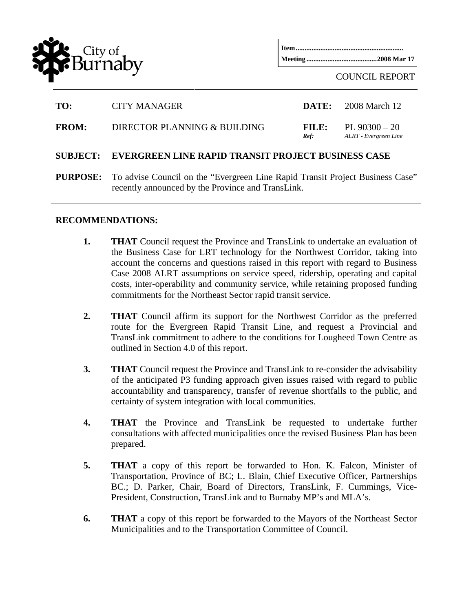

**Item............................................................. Meeting ........................................2008 Mar 17**

COUNCIL REPORT

**TO:** CITY MANAGER **DATE:** 2008 March 12

**FROM:** DIRECTOR PLANNING & BUILDING **FILE:**  *Ref:*  PL  $90300 - 20$ *ALRT - Evergreen Line*

## **SUBJECT: EVERGREEN LINE RAPID TRANSIT PROJECT BUSINESS CASE**

**PURPOSE:** To advise Council on the "Evergreen Line Rapid Transit Project Business Case" recently announced by the Province and TransLink.

#### **RECOMMENDATIONS:**

- **1. THAT** Council request the Province and TransLink to undertake an evaluation of the Business Case for LRT technology for the Northwest Corridor, taking into account the concerns and questions raised in this report with regard to Business Case 2008 ALRT assumptions on service speed, ridership, operating and capital costs, inter-operability and community service, while retaining proposed funding commitments for the Northeast Sector rapid transit service.
- **2. THAT** Council affirm its support for the Northwest Corridor as the preferred route for the Evergreen Rapid Transit Line, and request a Provincial and TransLink commitment to adhere to the conditions for Lougheed Town Centre as outlined in Section 4.0 of this report.
- **3. THAT** Council request the Province and TransLink to re-consider the advisability of the anticipated P3 funding approach given issues raised with regard to public accountability and transparency, transfer of revenue shortfalls to the public, and certainty of system integration with local communities.
- **4. THAT** the Province and TransLink be requested to undertake further consultations with affected municipalities once the revised Business Plan has been prepared.
- **5. THAT** a copy of this report be forwarded to Hon. K. Falcon, Minister of Transportation, Province of BC; L. Blain, Chief Executive Officer, Partnerships BC.; D. Parker, Chair, Board of Directors, TransLink, F. Cummings, Vice-President, Construction, TransLink and to Burnaby MP's and MLA's.
- **6. THAT** a copy of this report be forwarded to the Mayors of the Northeast Sector Municipalities and to the Transportation Committee of Council.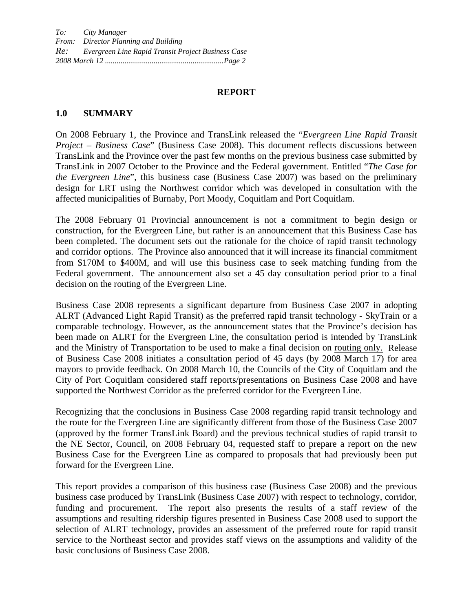#### **REPORT**

#### **1.0 SUMMARY**

On 2008 February 1, the Province and TransLink released the "*Evergreen Line Rapid Transit Project – Business Case*" (Business Case 2008). This document reflects discussions between TransLink and the Province over the past few months on the previous business case submitted by TransLink in 2007 October to the Province and the Federal government. Entitled "*The Case for the Evergreen Line*", this business case (Business Case 2007) was based on the preliminary design for LRT using the Northwest corridor which was developed in consultation with the affected municipalities of Burnaby, Port Moody, Coquitlam and Port Coquitlam.

The 2008 February 01 Provincial announcement is not a commitment to begin design or construction, for the Evergreen Line, but rather is an announcement that this Business Case has been completed. The document sets out the rationale for the choice of rapid transit technology and corridor options. The Province also announced that it will increase its financial commitment from \$170M to \$400M, and will use this business case to seek matching funding from the Federal government. The announcement also set a 45 day consultation period prior to a final decision on the routing of the Evergreen Line.

Business Case 2008 represents a significant departure from Business Case 2007 in adopting ALRT (Advanced Light Rapid Transit) as the preferred rapid transit technology - SkyTrain or a comparable technology. However, as the announcement states that the Province's decision has been made on ALRT for the Evergreen Line, the consultation period is intended by TransLink and the Ministry of Transportation to be used to make a final decision on routing only. Release of Business Case 2008 initiates a consultation period of 45 days (by 2008 March 17) for area mayors to provide feedback. On 2008 March 10, the Councils of the City of Coquitlam and the City of Port Coquitlam considered staff reports/presentations on Business Case 2008 and have supported the Northwest Corridor as the preferred corridor for the Evergreen Line.

Recognizing that the conclusions in Business Case 2008 regarding rapid transit technology and the route for the Evergreen Line are significantly different from those of the Business Case 2007 (approved by the former TransLink Board) and the previous technical studies of rapid transit to the NE Sector, Council, on 2008 February 04, requested staff to prepare a report on the new Business Case for the Evergreen Line as compared to proposals that had previously been put forward for the Evergreen Line.

This report provides a comparison of this business case (Business Case 2008) and the previous business case produced by TransLink (Business Case 2007) with respect to technology, corridor, funding and procurement. The report also presents the results of a staff review of the assumptions and resulting ridership figures presented in Business Case 2008 used to support the selection of ALRT technology, provides an assessment of the preferred route for rapid transit service to the Northeast sector and provides staff views on the assumptions and validity of the basic conclusions of Business Case 2008.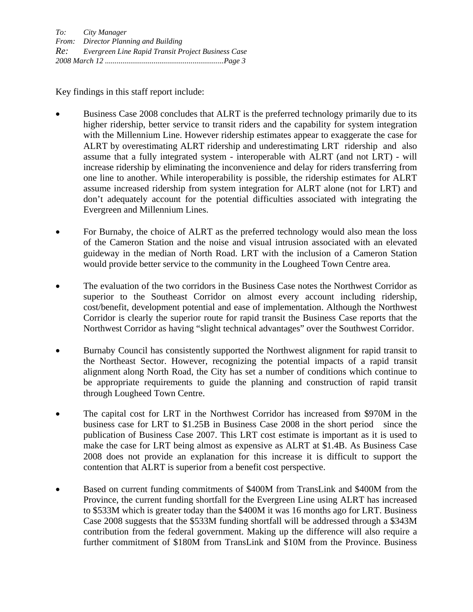Key findings in this staff report include:

- Business Case 2008 concludes that ALRT is the preferred technology primarily due to its higher ridership, better service to transit riders and the capability for system integration with the Millennium Line. However ridership estimates appear to exaggerate the case for ALRT by overestimating ALRT ridership and underestimating LRT ridership and also assume that a fully integrated system - interoperable with ALRT (and not LRT) - will increase ridership by eliminating the inconvenience and delay for riders transferring from one line to another. While interoperability is possible, the ridership estimates for ALRT assume increased ridership from system integration for ALRT alone (not for LRT) and don't adequately account for the potential difficulties associated with integrating the Evergreen and Millennium Lines.
- For Burnaby, the choice of ALRT as the preferred technology would also mean the loss of the Cameron Station and the noise and visual intrusion associated with an elevated guideway in the median of North Road. LRT with the inclusion of a Cameron Station would provide better service to the community in the Lougheed Town Centre area.
- The evaluation of the two corridors in the Business Case notes the Northwest Corridor as superior to the Southeast Corridor on almost every account including ridership, cost/benefit, development potential and ease of implementation. Although the Northwest Corridor is clearly the superior route for rapid transit the Business Case reports that the Northwest Corridor as having "slight technical advantages" over the Southwest Corridor.
- Burnaby Council has consistently supported the Northwest alignment for rapid transit to the Northeast Sector. However, recognizing the potential impacts of a rapid transit alignment along North Road, the City has set a number of conditions which continue to be appropriate requirements to guide the planning and construction of rapid transit through Lougheed Town Centre.
- The capital cost for LRT in the Northwest Corridor has increased from \$970M in the business case for LRT to \$1.25B in Business Case 2008 in the short period since the publication of Business Case 2007. This LRT cost estimate is important as it is used to make the case for LRT being almost as expensive as ALRT at \$1.4B. As Business Case 2008 does not provide an explanation for this increase it is difficult to support the contention that ALRT is superior from a benefit cost perspective.
- Based on current funding commitments of \$400M from TransLink and \$400M from the Province, the current funding shortfall for the Evergreen Line using ALRT has increased to \$533M which is greater today than the \$400M it was 16 months ago for LRT. Business Case 2008 suggests that the \$533M funding shortfall will be addressed through a \$343M contribution from the federal government. Making up the difference will also require a further commitment of \$180M from TransLink and \$10M from the Province. Business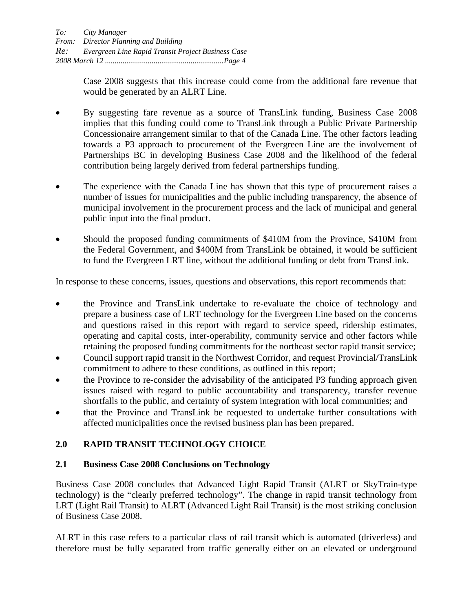Case 2008 suggests that this increase could come from the additional fare revenue that would be generated by an ALRT Line.

- By suggesting fare revenue as a source of TransLink funding, Business Case 2008 implies that this funding could come to TransLink through a Public Private Partnership Concessionaire arrangement similar to that of the Canada Line. The other factors leading towards a P3 approach to procurement of the Evergreen Line are the involvement of Partnerships BC in developing Business Case 2008 and the likelihood of the federal contribution being largely derived from federal partnerships funding.
- The experience with the Canada Line has shown that this type of procurement raises a number of issues for municipalities and the public including transparency, the absence of municipal involvement in the procurement process and the lack of municipal and general public input into the final product.
- Should the proposed funding commitments of \$410M from the Province, \$410M from the Federal Government, and \$400M from TransLink be obtained, it would be sufficient to fund the Evergreen LRT line, without the additional funding or debt from TransLink.

In response to these concerns, issues, questions and observations, this report recommends that:

- the Province and TransLink undertake to re-evaluate the choice of technology and prepare a business case of LRT technology for the Evergreen Line based on the concerns and questions raised in this report with regard to service speed, ridership estimates, operating and capital costs, inter-operability, community service and other factors while retaining the proposed funding commitments for the northeast sector rapid transit service;
- Council support rapid transit in the Northwest Corridor, and request Provincial/TransLink commitment to adhere to these conditions, as outlined in this report;
- the Province to re-consider the advisability of the anticipated P3 funding approach given issues raised with regard to public accountability and transparency, transfer revenue shortfalls to the public, and certainty of system integration with local communities; and
- that the Province and TransLink be requested to undertake further consultations with affected municipalities once the revised business plan has been prepared.

# **2.0 RAPID TRANSIT TECHNOLOGY CHOICE**

# **2.1 Business Case 2008 Conclusions on Technology**

Business Case 2008 concludes that Advanced Light Rapid Transit (ALRT or SkyTrain-type technology) is the "clearly preferred technology". The change in rapid transit technology from LRT (Light Rail Transit) to ALRT (Advanced Light Rail Transit) is the most striking conclusion of Business Case 2008.

ALRT in this case refers to a particular class of rail transit which is automated (driverless) and therefore must be fully separated from traffic generally either on an elevated or underground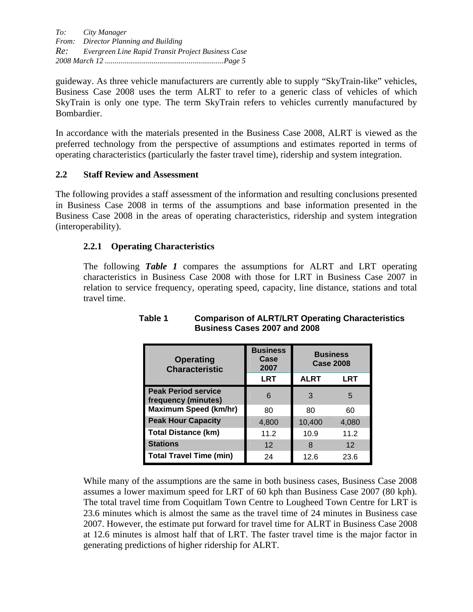*To: City Manager From: Director Planning and Building Re: Evergreen Line Rapid Transit Project Business Case 2008 March 12 .............................................................Page 5* 

guideway. As three vehicle manufacturers are currently able to supply "SkyTrain-like" vehicles, Business Case 2008 uses the term ALRT to refer to a generic class of vehicles of which SkyTrain is only one type. The term SkyTrain refers to vehicles currently manufactured by Bombardier.

In accordance with the materials presented in the Business Case 2008, ALRT is viewed as the preferred technology from the perspective of assumptions and estimates reported in terms of operating characteristics (particularly the faster travel time), ridership and system integration.

#### **2.2 Staff Review and Assessment**

The following provides a staff assessment of the information and resulting conclusions presented in Business Case 2008 in terms of the assumptions and base information presented in the Business Case 2008 in the areas of operating characteristics, ridership and system integration (interoperability).

## **2.2.1 Operating Characteristics**

 The following *Table 1* compares the assumptions for ALRT and LRT operating characteristics in Business Case 2008 with those for LRT in Business Case 2007 in relation to service frequency, operating speed, capacity, line distance, stations and total travel time.

| <b>Operating</b><br><b>Characteristic</b>         | <b>Business</b><br>Case<br>2007 | <b>Business</b><br><b>Case 2008</b> |            |  |
|---------------------------------------------------|---------------------------------|-------------------------------------|------------|--|
|                                                   | <b>LRT</b>                      | <b>ALRT</b>                         | <b>LRT</b> |  |
| <b>Peak Period service</b><br>frequency (minutes) | 6                               | 3                                   | 5          |  |
| Maximum Speed (km/hr)                             | 80                              | 80                                  | 60         |  |
| <b>Peak Hour Capacity</b>                         | 4,800                           | 10,400                              | 4,080      |  |
| <b>Total Distance (km)</b>                        | 11.2                            | 10.9                                | 11.2       |  |
| <b>Stations</b>                                   | 12                              | 8                                   | 12         |  |
| <b>Total Travel Time (min)</b>                    | 24                              | 12.6                                | 23.6       |  |

**Table 1 Comparison of ALRT/LRT Operating Characteristics Business Cases 2007 and 2008** 

 While many of the assumptions are the same in both business cases, Business Case 2008 assumes a lower maximum speed for LRT of 60 kph than Business Case 2007 (80 kph). The total travel time from Coquitlam Town Centre to Lougheed Town Centre for LRT is 23.6 minutes which is almost the same as the travel time of 24 minutes in Business case 2007. However, the estimate put forward for travel time for ALRT in Business Case 2008 at 12.6 minutes is almost half that of LRT. The faster travel time is the major factor in generating predictions of higher ridership for ALRT.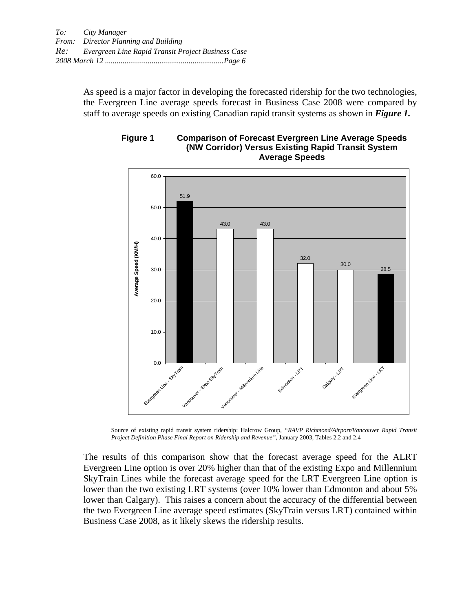As speed is a major factor in developing the forecasted ridership for the two technologies, the Evergreen Line average speeds forecast in Business Case 2008 were compared by staff to average speeds on existing Canadian rapid transit systems as shown in *Figure 1.* 





Source of existing rapid transit system ridership: Halcrow Group, *"RAVP Richmond/Airport/Vancouver Rapid Transit Project Definition Phase Final Report on Ridership and Revenue"*, January 2003, Tables 2.2 and 2.4

The results of this comparison show that the forecast average speed for the ALRT Evergreen Line option is over 20% higher than that of the existing Expo and Millennium SkyTrain Lines while the forecast average speed for the LRT Evergreen Line option is lower than the two existing LRT systems (over 10% lower than Edmonton and about 5% lower than Calgary). This raises a concern about the accuracy of the differential between the two Evergreen Line average speed estimates (SkyTrain versus LRT) contained within Business Case 2008, as it likely skews the ridership results.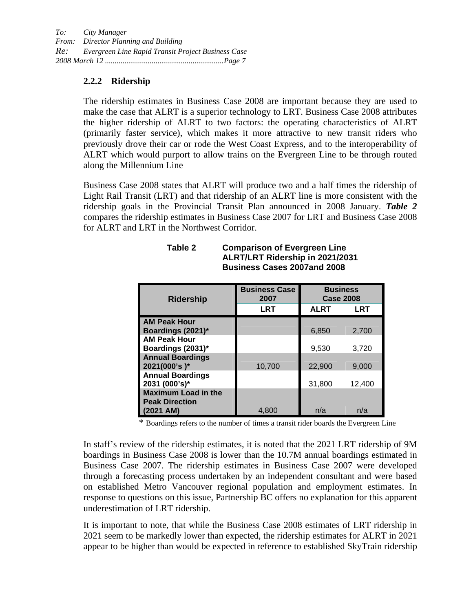# **2.2.2 Ridership**

The ridership estimates in Business Case 2008 are important because they are used to make the case that ALRT is a superior technology to LRT. Business Case 2008 attributes the higher ridership of ALRT to two factors: the operating characteristics of ALRT (primarily faster service), which makes it more attractive to new transit riders who previously drove their car or rode the West Coast Express, and to the interoperability of ALRT which would purport to allow trains on the Evergreen Line to be through routed along the Millennium Line

Business Case 2008 states that ALRT will produce two and a half times the ridership of Light Rail Transit (LRT) and that ridership of an ALRT line is more consistent with the ridership goals in the Provincial Transit Plan announced in 2008 January. *Table 2* compares the ridership estimates in Business Case 2007 for LRT and Business Case 2008 for ALRT and LRT in the Northwest Corridor.

| <b>Ridership</b>                                    | <b>Business Case</b><br>2007 | <b>Business</b><br><b>Case 2008</b> |            |
|-----------------------------------------------------|------------------------------|-------------------------------------|------------|
|                                                     | <b>LRT</b>                   | <b>ALRT</b>                         | <b>LRT</b> |
| <b>AM Peak Hour</b>                                 |                              |                                     |            |
| Boardings (2021)*                                   |                              | 6,850                               | 2.700      |
| <b>AM Peak Hour</b>                                 |                              |                                     |            |
| Boardings (2031)*                                   |                              | 9,530                               | 3,720      |
| <b>Annual Boardings</b><br>2021(000's)*             | 10,700                       | 22,900                              | 9,000      |
| <b>Annual Boardings</b><br>2031 (000's)*            |                              | 31,800                              | 12,400     |
| <b>Maximum Load in the</b><br><b>Peak Direction</b> |                              |                                     |            |
| (2021 AM)                                           | 4,800                        | n/a                                 | n/a        |

#### **Table 2 Comparison of Evergreen Line ALRT/LRT Ridership in 2021/2031 Business Cases 2007and 2008**

\* Boardings refers to the number of times a transit rider boards the Evergreen Line

In staff's review of the ridership estimates, it is noted that the 2021 LRT ridership of 9M boardings in Business Case 2008 is lower than the 10.7M annual boardings estimated in Business Case 2007. The ridership estimates in Business Case 2007 were developed through a forecasting process undertaken by an independent consultant and were based on established Metro Vancouver regional population and employment estimates. In response to questions on this issue, Partnership BC offers no explanation for this apparent underestimation of LRT ridership.

It is important to note, that while the Business Case 2008 estimates of LRT ridership in 2021 seem to be markedly lower than expected, the ridership estimates for ALRT in 2021 appear to be higher than would be expected in reference to established SkyTrain ridership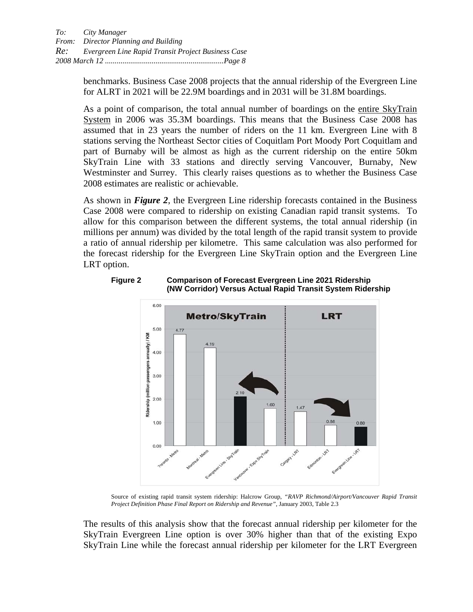benchmarks. Business Case 2008 projects that the annual ridership of the Evergreen Line for ALRT in 2021 will be 22.9M boardings and in 2031 will be 31.8M boardings.

As a point of comparison, the total annual number of boardings on the entire SkyTrain System in 2006 was 35.3M boardings. This means that the Business Case 2008 has assumed that in 23 years the number of riders on the 11 km. Evergreen Line with 8 stations serving the Northeast Sector cities of Coquitlam Port Moody Port Coquitlam and part of Burnaby will be almost as high as the current ridership on the entire 50km SkyTrain Line with 33 stations and directly serving Vancouver, Burnaby, New Westminster and Surrey. This clearly raises questions as to whether the Business Case 2008 estimates are realistic or achievable.

As shown in *Figure 2*, the Evergreen Line ridership forecasts contained in the Business Case 2008 were compared to ridership on existing Canadian rapid transit systems. To allow for this comparison between the different systems, the total annual ridership (in millions per annum) was divided by the total length of the rapid transit system to provide a ratio of annual ridership per kilometre. This same calculation was also performed for the forecast ridership for the Evergreen Line SkyTrain option and the Evergreen Line LRT option.



**Figure 2 Comparison of Forecast Evergreen Line 2021 Ridership (NW Corridor) Versus Actual Rapid Transit System Ridership** 

Source of existing rapid transit system ridership: Halcrow Group, *"RAVP Richmond/Airport/Vancouver Rapid Transit Project Definition Phase Final Report on Ridership and Revenue"*, January 2003, Table 2.3

The results of this analysis show that the forecast annual ridership per kilometer for the SkyTrain Evergreen Line option is over 30% higher than that of the existing Expo SkyTrain Line while the forecast annual ridership per kilometer for the LRT Evergreen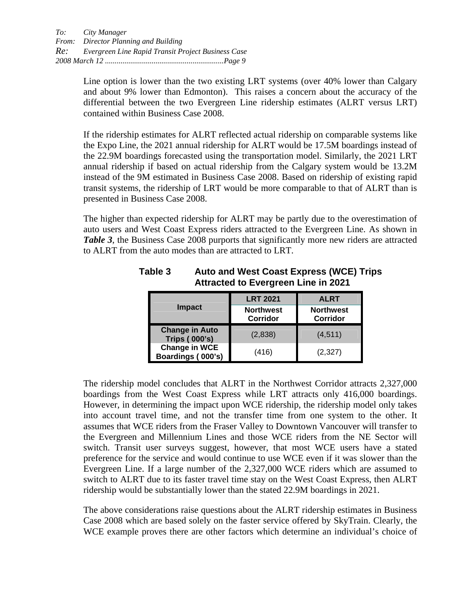Line option is lower than the two existing LRT systems (over 40% lower than Calgary and about 9% lower than Edmonton). This raises a concern about the accuracy of the differential between the two Evergreen Line ridership estimates (ALRT versus LRT) contained within Business Case 2008.

If the ridership estimates for ALRT reflected actual ridership on comparable systems like the Expo Line, the 2021 annual ridership for ALRT would be 17.5M boardings instead of the 22.9M boardings forecasted using the transportation model. Similarly, the 2021 LRT annual ridership if based on actual ridership from the Calgary system would be 13.2M instead of the 9M estimated in Business Case 2008. Based on ridership of existing rapid transit systems, the ridership of LRT would be more comparable to that of ALRT than is presented in Business Case 2008.

The higher than expected ridership for ALRT may be partly due to the overestimation of auto users and West Coast Express riders attracted to the Evergreen Line. As shown in *Table 3*, the Business Case 2008 purports that significantly more new riders are attracted to ALRT from the auto modes than are attracted to LRT.

|                                               | <b>LRT 2021</b>                     | <b>ALRT</b>                         |  |
|-----------------------------------------------|-------------------------------------|-------------------------------------|--|
| <b>Impact</b>                                 | <b>Northwest</b><br><b>Corridor</b> | <b>Northwest</b><br><b>Corridor</b> |  |
| <b>Change in Auto</b><br><b>Trips (000's)</b> | (2,838)                             | (4,511)                             |  |
| <b>Change in WCE</b><br>Boardings (000's)     | (416)                               | (2,327)                             |  |

# **Table 3 Auto and West Coast Express (WCE) Trips Attracted to Evergreen Line in 2021**

The ridership model concludes that ALRT in the Northwest Corridor attracts 2,327,000 boardings from the West Coast Express while LRT attracts only 416,000 boardings. However, in determining the impact upon WCE ridership, the ridership model only takes into account travel time, and not the transfer time from one system to the other. It assumes that WCE riders from the Fraser Valley to Downtown Vancouver will transfer to the Evergreen and Millennium Lines and those WCE riders from the NE Sector will switch. Transit user surveys suggest, however, that most WCE users have a stated preference for the service and would continue to use WCE even if it was slower than the Evergreen Line. If a large number of the 2,327,000 WCE riders which are assumed to switch to ALRT due to its faster travel time stay on the West Coast Express, then ALRT ridership would be substantially lower than the stated 22.9M boardings in 2021.

The above considerations raise questions about the ALRT ridership estimates in Business Case 2008 which are based solely on the faster service offered by SkyTrain. Clearly, the WCE example proves there are other factors which determine an individual's choice of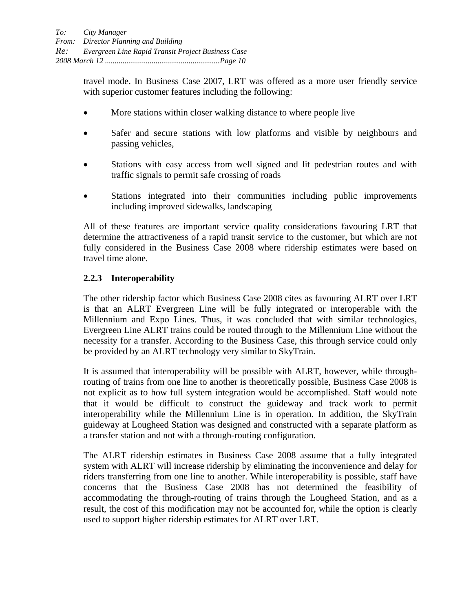travel mode. In Business Case 2007, LRT was offered as a more user friendly service with superior customer features including the following:

- More stations within closer walking distance to where people live
- Safer and secure stations with low platforms and visible by neighbours and passing vehicles,
- Stations with easy access from well signed and lit pedestrian routes and with traffic signals to permit safe crossing of roads
- Stations integrated into their communities including public improvements including improved sidewalks, landscaping

All of these features are important service quality considerations favouring LRT that determine the attractiveness of a rapid transit service to the customer, but which are not fully considered in the Business Case 2008 where ridership estimates were based on travel time alone.

# **2.2.3 Interoperability**

The other ridership factor which Business Case 2008 cites as favouring ALRT over LRT is that an ALRT Evergreen Line will be fully integrated or interoperable with the Millennium and Expo Lines. Thus, it was concluded that with similar technologies, Evergreen Line ALRT trains could be routed through to the Millennium Line without the necessity for a transfer. According to the Business Case, this through service could only be provided by an ALRT technology very similar to SkyTrain.

It is assumed that interoperability will be possible with ALRT, however, while throughrouting of trains from one line to another is theoretically possible, Business Case 2008 is not explicit as to how full system integration would be accomplished. Staff would note that it would be difficult to construct the guideway and track work to permit interoperability while the Millennium Line is in operation. In addition, the SkyTrain guideway at Lougheed Station was designed and constructed with a separate platform as a transfer station and not with a through-routing configuration.

The ALRT ridership estimates in Business Case 2008 assume that a fully integrated system with ALRT will increase ridership by eliminating the inconvenience and delay for riders transferring from one line to another. While interoperability is possible, staff have concerns that the Business Case 2008 has not determined the feasibility of accommodating the through-routing of trains through the Lougheed Station, and as a result, the cost of this modification may not be accounted for, while the option is clearly used to support higher ridership estimates for ALRT over LRT.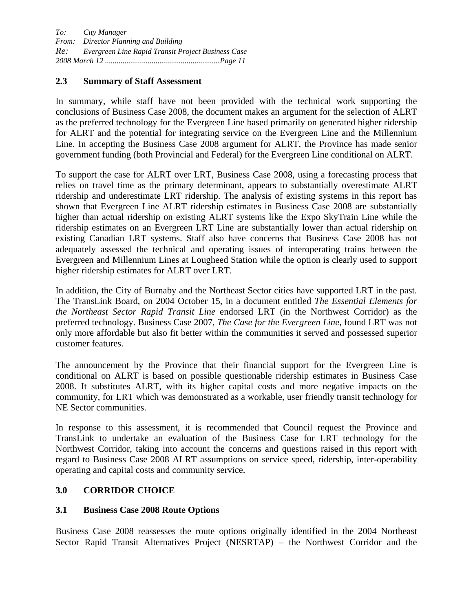#### **2.3 Summary of Staff Assessment**

In summary, while staff have not been provided with the technical work supporting the conclusions of Business Case 2008, the document makes an argument for the selection of ALRT as the preferred technology for the Evergreen Line based primarily on generated higher ridership for ALRT and the potential for integrating service on the Evergreen Line and the Millennium Line. In accepting the Business Case 2008 argument for ALRT, the Province has made senior government funding (both Provincial and Federal) for the Evergreen Line conditional on ALRT.

To support the case for ALRT over LRT, Business Case 2008, using a forecasting process that relies on travel time as the primary determinant, appears to substantially overestimate ALRT ridership and underestimate LRT ridership. The analysis of existing systems in this report has shown that Evergreen Line ALRT ridership estimates in Business Case 2008 are substantially higher than actual ridership on existing ALRT systems like the Expo SkyTrain Line while the ridership estimates on an Evergreen LRT Line are substantially lower than actual ridership on existing Canadian LRT systems. Staff also have concerns that Business Case 2008 has not adequately assessed the technical and operating issues of interoperating trains between the Evergreen and Millennium Lines at Lougheed Station while the option is clearly used to support higher ridership estimates for ALRT over LRT.

In addition, the City of Burnaby and the Northeast Sector cities have supported LRT in the past. The TransLink Board, on 2004 October 15, in a document entitled *The Essential Elements for the Northeast Sector Rapid Transit Line* endorsed LRT (in the Northwest Corridor) as the preferred technology. Business Case 2007, *The Case for the Evergreen Line,* found LRT was not only more affordable but also fit better within the communities it served and possessed superior customer features.

The announcement by the Province that their financial support for the Evergreen Line is conditional on ALRT is based on possible questionable ridership estimates in Business Case 2008. It substitutes ALRT, with its higher capital costs and more negative impacts on the community, for LRT which was demonstrated as a workable, user friendly transit technology for NE Sector communities.

In response to this assessment, it is recommended that Council request the Province and TransLink to undertake an evaluation of the Business Case for LRT technology for the Northwest Corridor, taking into account the concerns and questions raised in this report with regard to Business Case 2008 ALRT assumptions on service speed, ridership, inter-operability operating and capital costs and community service.

## **3.0 CORRIDOR CHOICE**

#### **3.1 Business Case 2008 Route Options**

Business Case 2008 reassesses the route options originally identified in the 2004 Northeast Sector Rapid Transit Alternatives Project (NESRTAP) – the Northwest Corridor and the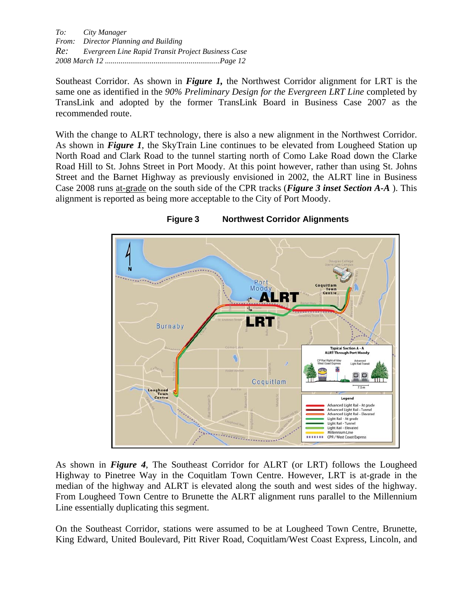*To: City Manager From: Director Planning and Building Re: Evergreen Line Rapid Transit Project Business Case 2008 March 12 ...........................................................Page 12* 

Southeast Corridor. As shown in *Figure 1,* the Northwest Corridor alignment for LRT is the same one as identified in the *90% Preliminary Design for the Evergreen LRT Line* completed by TransLink and adopted by the former TransLink Board in Business Case 2007 as the recommended route.

With the change to ALRT technology, there is also a new alignment in the Northwest Corridor. As shown in *Figure 1*, the SkyTrain Line continues to be elevated from Lougheed Station up North Road and Clark Road to the tunnel starting north of Como Lake Road down the Clarke Road Hill to St. Johns Street in Port Moody. At this point however, rather than using St. Johns Street and the Barnet Highway as previously envisioned in 2002, the ALRT line in Business Case 2008 runs at-grade on the south side of the CPR tracks (*Figure 3 inset Section A-A* ). This alignment is reported as being more acceptable to the City of Port Moody.



**Figure 3 Northwest Corridor Alignments** 

As shown in *Figure 4*, The Southeast Corridor for ALRT (or LRT) follows the Lougheed Highway to Pinetree Way in the Coquitlam Town Centre. However, LRT is at-grade in the median of the highway and ALRT is elevated along the south and west sides of the highway. From Lougheed Town Centre to Brunette the ALRT alignment runs parallel to the Millennium Line essentially duplicating this segment.

On the Southeast Corridor, stations were assumed to be at Lougheed Town Centre, Brunette, King Edward, United Boulevard, Pitt River Road, Coquitlam/West Coast Express, Lincoln, and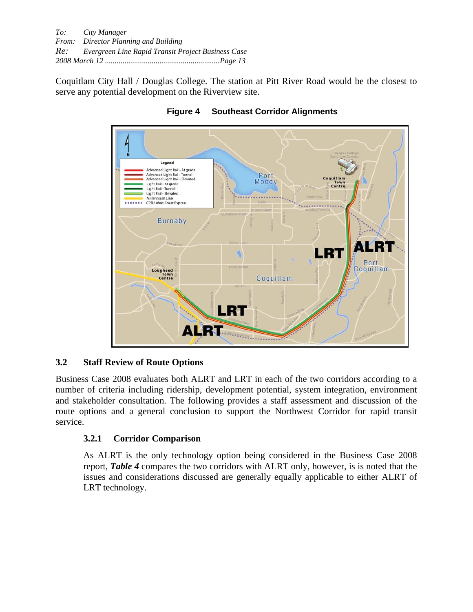*To: City Manager From: Director Planning and Building Re: Evergreen Line Rapid Transit Project Business Case 2008 March 12 ...........................................................Page 13* 

Coquitlam City Hall / Douglas College. The station at Pitt River Road would be the closest to serve any potential development on the Riverview site.





## **3.2 Staff Review of Route Options**

Business Case 2008 evaluates both ALRT and LRT in each of the two corridors according to a number of criteria including ridership, development potential, system integration, environment and stakeholder consultation. The following provides a staff assessment and discussion of the route options and a general conclusion to support the Northwest Corridor for rapid transit service.

#### **3.2.1 Corridor Comparison**

As ALRT is the only technology option being considered in the Business Case 2008 report, *Table 4* compares the two corridors with ALRT only, however, is is noted that the issues and considerations discussed are generally equally applicable to either ALRT of LRT technology.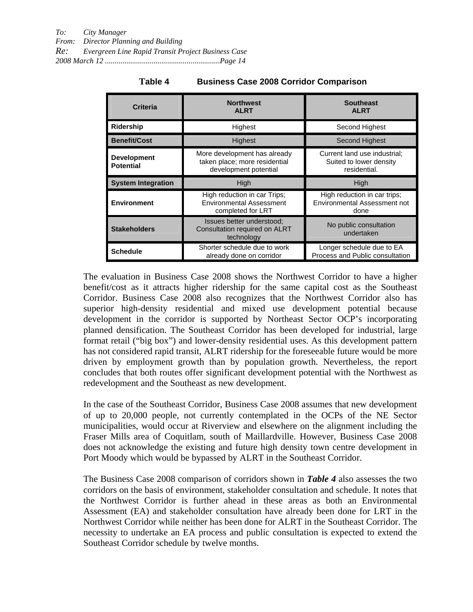| Criteria                               | <b>Northwest</b><br><b>ALRT</b>                                                        | <b>Southeast</b><br><b>ALRT</b>                                         |
|----------------------------------------|----------------------------------------------------------------------------------------|-------------------------------------------------------------------------|
| Ridership                              | Highest                                                                                | Second Highest                                                          |
| <b>Benefit/Cost</b>                    | Highest                                                                                | Second Highest                                                          |
| <b>Development</b><br><b>Potential</b> | More development has already<br>taken place; more residential<br>development potential | Current land use industrial;<br>Suited to lower density<br>residential. |
| <b>System Integration</b>              | High                                                                                   | High                                                                    |
| <b>Environment</b>                     | High reduction in car Trips;<br><b>Environmental Assessment</b><br>completed for LRT   | High reduction in car trips;<br>Environmental Assessment not<br>done    |
| <b>Stakeholders</b>                    | Issues better understood:<br>Consultation required on ALRT<br>technology               | No public consultation<br>undertaken                                    |
| <b>Schedule</b>                        | Shorter schedule due to work<br>already done on corridor                               | Longer schedule due to EA<br>Process and Public consultation            |

**Table 4 Business Case 2008 Corridor Comparison** 

The evaluation in Business Case 2008 shows the Northwest Corridor to have a higher benefit/cost as it attracts higher ridership for the same capital cost as the Southeast Corridor. Business Case 2008 also recognizes that the Northwest Corridor also has superior high-density residential and mixed use development potential because development in the corridor is supported by Northeast Sector OCP's incorporating planned densification. The Southeast Corridor has been developed for industrial, large format retail ("big box") and lower-density residential uses. As this development pattern has not considered rapid transit, ALRT ridership for the foreseeable future would be more driven by employment growth than by population growth. Nevertheless, the report concludes that both routes offer significant development potential with the Northwest as redevelopment and the Southeast as new development.

In the case of the Southeast Corridor, Business Case 2008 assumes that new development of up to 20,000 people, not currently contemplated in the OCPs of the NE Sector municipalities, would occur at Riverview and elsewhere on the alignment including the Fraser Mills area of Coquitlam, south of Maillardville. However, Business Case 2008 does not acknowledge the existing and future high density town centre development in Port Moody which would be bypassed by ALRT in the Southeast Corridor.

The Business Case 2008 comparison of corridors shown in *Table 4* also assesses the two corridors on the basis of environment, stakeholder consultation and schedule. It notes that the Northwest Corridor is further ahead in these areas as both an Environmental Assessment (EA) and stakeholder consultation have already been done for LRT in the Northwest Corridor while neither has been done for ALRT in the Southeast Corridor. The necessity to undertake an EA process and public consultation is expected to extend the Southeast Corridor schedule by twelve months.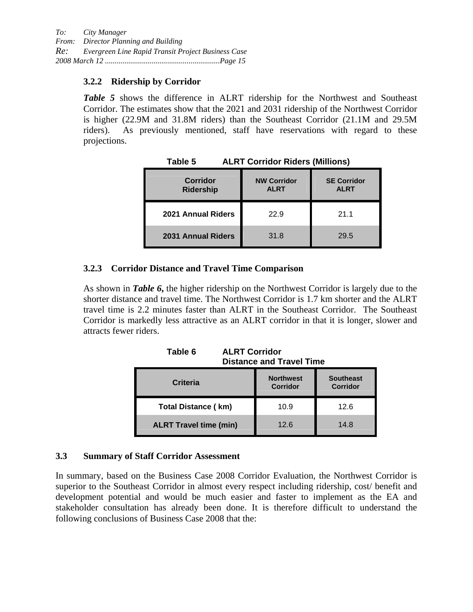#### **3.2.2 Ridership by Corridor**

*Table 5* shows the difference in ALRT ridership for the Northwest and Southeast Corridor. The estimates show that the 2021 and 2031 ridership of the Northwest Corridor is higher (22.9M and 31.8M riders) than the Southeast Corridor (21.1M and 29.5M riders). As previously mentioned, staff have reservations with regard to these projections.

| <b>Corridor</b><br>Ridership | <b>NW Corridor</b><br><b>ALRT</b> | <b>SE Corridor</b><br><b>ALRT</b> |
|------------------------------|-----------------------------------|-----------------------------------|
| 2021 Annual Riders           | 22.9                              | 21.1                              |
| <b>2031 Annual Riders</b>    | 31.8                              | 29.5                              |

**Table 5 ALRT Corridor Riders (Millions)**

#### **3.2.3 Corridor Distance and Travel Time Comparison**

As shown in *Table 6***,** the higher ridership on the Northwest Corridor is largely due to the shorter distance and travel time. The Northwest Corridor is 1.7 km shorter and the ALRT travel time is 2.2 minutes faster than ALRT in the Southeast Corridor. The Southeast Corridor is markedly less attractive as an ALRT corridor in that it is longer, slower and attracts fewer riders.

| Table 6 | <b>ALRT Corridor</b>            |
|---------|---------------------------------|
|         | <b>Distance and Travel Time</b> |

| Criteria                      | <b>Northwest</b><br>Corridor | <b>Southeast</b><br>Corridor |
|-------------------------------|------------------------------|------------------------------|
| <b>Total Distance (km)</b>    | 10.9                         | 12.6                         |
| <b>ALRT Travel time (min)</b> | 12.6                         | 14.8                         |

#### **3.3 Summary of Staff Corridor Assessment**

In summary, based on the Business Case 2008 Corridor Evaluation, the Northwest Corridor is superior to the Southeast Corridor in almost every respect including ridership, cost/ benefit and development potential and would be much easier and faster to implement as the EA and stakeholder consultation has already been done. It is therefore difficult to understand the following conclusions of Business Case 2008 that the: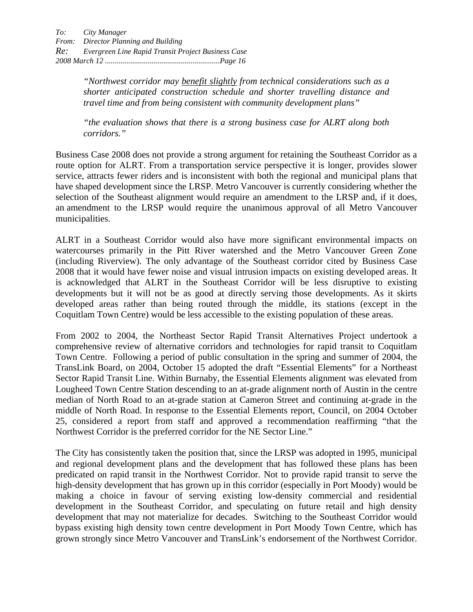*"Northwest corridor may benefit slightly from technical considerations such as a shorter anticipated construction schedule and shorter travelling distance and travel time and from being consistent with community development plans"* 

*"the evaluation shows that there is a strong business case for ALRT along both corridors."* 

Business Case 2008 does not provide a strong argument for retaining the Southeast Corridor as a route option for ALRT. From a transportation service perspective it is longer, provides slower service, attracts fewer riders and is inconsistent with both the regional and municipal plans that have shaped development since the LRSP. Metro Vancouver is currently considering whether the selection of the Southeast alignment would require an amendment to the LRSP and, if it does, an amendment to the LRSP would require the unanimous approval of all Metro Vancouver municipalities.

ALRT in a Southeast Corridor would also have more significant environmental impacts on watercourses primarily in the Pitt River watershed and the Metro Vancouver Green Zone (including Riverview). The only advantage of the Southeast corridor cited by Business Case 2008 that it would have fewer noise and visual intrusion impacts on existing developed areas. It is acknowledged that ALRT in the Southeast Corridor will be less disruptive to existing developments but it will not be as good at directly serving those developments. As it skirts developed areas rather than being routed through the middle, its stations (except in the Coquitlam Town Centre) would be less accessible to the existing population of these areas.

From 2002 to 2004, the Northeast Sector Rapid Transit Alternatives Project undertook a comprehensive review of alternative corridors and technologies for rapid transit to Coquitlam Town Centre. Following a period of public consultation in the spring and summer of 2004, the TransLink Board, on 2004, October 15 adopted the draft "Essential Elements" for a Northeast Sector Rapid Transit Line. Within Burnaby, the Essential Elements alignment was elevated from Lougheed Town Centre Station descending to an at-grade alignment north of Austin in the centre median of North Road to an at-grade station at Cameron Street and continuing at-grade in the middle of North Road. In response to the Essential Elements report, Council, on 2004 October 25, considered a report from staff and approved a recommendation reaffirming "that the Northwest Corridor is the preferred corridor for the NE Sector Line."

The City has consistently taken the position that, since the LRSP was adopted in 1995, municipal and regional development plans and the development that has followed these plans has been predicated on rapid transit in the Northwest Corridor. Not to provide rapid transit to serve the high-density development that has grown up in this corridor (especially in Port Moody) would be making a choice in favour of serving existing low-density commercial and residential development in the Southeast Corridor, and speculating on future retail and high density development that may not materialize for decades. Switching to the Southeast Corridor would bypass existing high density town centre development in Port Moody Town Centre, which has grown strongly since Metro Vancouver and TransLink's endorsement of the Northwest Corridor.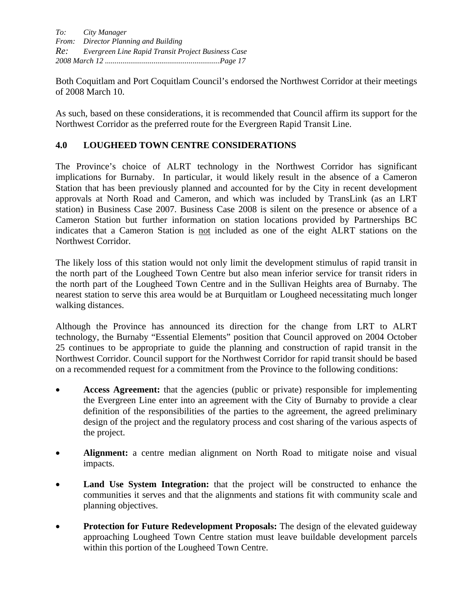Both Coquitlam and Port Coquitlam Council's endorsed the Northwest Corridor at their meetings of 2008 March 10.

As such, based on these considerations, it is recommended that Council affirm its support for the Northwest Corridor as the preferred route for the Evergreen Rapid Transit Line.

## **4.0 LOUGHEED TOWN CENTRE CONSIDERATIONS**

The Province's choice of ALRT technology in the Northwest Corridor has significant implications for Burnaby. In particular, it would likely result in the absence of a Cameron Station that has been previously planned and accounted for by the City in recent development approvals at North Road and Cameron, and which was included by TransLink (as an LRT station) in Business Case 2007. Business Case 2008 is silent on the presence or absence of a Cameron Station but further information on station locations provided by Partnerships BC indicates that a Cameron Station is not included as one of the eight ALRT stations on the Northwest Corridor.

The likely loss of this station would not only limit the development stimulus of rapid transit in the north part of the Lougheed Town Centre but also mean inferior service for transit riders in the north part of the Lougheed Town Centre and in the Sullivan Heights area of Burnaby. The nearest station to serve this area would be at Burquitlam or Lougheed necessitating much longer walking distances.

Although the Province has announced its direction for the change from LRT to ALRT technology, the Burnaby "Essential Elements" position that Council approved on 2004 October 25 continues to be appropriate to guide the planning and construction of rapid transit in the Northwest Corridor. Council support for the Northwest Corridor for rapid transit should be based on a recommended request for a commitment from the Province to the following conditions:

- Access Agreement: that the agencies (public or private) responsible for implementing the Evergreen Line enter into an agreement with the City of Burnaby to provide a clear definition of the responsibilities of the parties to the agreement, the agreed preliminary design of the project and the regulatory process and cost sharing of the various aspects of the project.
- **Alignment:** a centre median alignment on North Road to mitigate noise and visual impacts.
- Land Use System Integration: that the project will be constructed to enhance the communities it serves and that the alignments and stations fit with community scale and planning objectives.
- **Protection for Future Redevelopment Proposals:** The design of the elevated guideway approaching Lougheed Town Centre station must leave buildable development parcels within this portion of the Lougheed Town Centre.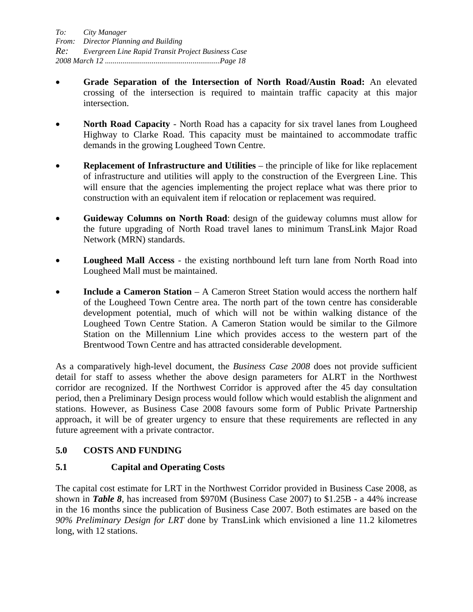- **Grade Separation of the Intersection of North Road/Austin Road:** An elevated crossing of the intersection is required to maintain traffic capacity at this major intersection.
- **North Road Capacity** North Road has a capacity for six travel lanes from Lougheed Highway to Clarke Road. This capacity must be maintained to accommodate traffic demands in the growing Lougheed Town Centre.
- **Replacement of Infrastructure and Utilities** the principle of like for like replacement of infrastructure and utilities will apply to the construction of the Evergreen Line. This will ensure that the agencies implementing the project replace what was there prior to construction with an equivalent item if relocation or replacement was required.
- **Guideway Columns on North Road**: design of the guideway columns must allow for the future upgrading of North Road travel lanes to minimum TransLink Major Road Network (MRN) standards.
- **Lougheed Mall Access** the existing northbound left turn lane from North Road into Lougheed Mall must be maintained.
- **Include a Cameron Station** A Cameron Street Station would access the northern half of the Lougheed Town Centre area. The north part of the town centre has considerable development potential, much of which will not be within walking distance of the Lougheed Town Centre Station. A Cameron Station would be similar to the Gilmore Station on the Millennium Line which provides access to the western part of the Brentwood Town Centre and has attracted considerable development.

As a comparatively high-level document, the *Business Case 2008* does not provide sufficient detail for staff to assess whether the above design parameters for ALRT in the Northwest corridor are recognized. If the Northwest Corridor is approved after the 45 day consultation period, then a Preliminary Design process would follow which would establish the alignment and stations. However, as Business Case 2008 favours some form of Public Private Partnership approach, it will be of greater urgency to ensure that these requirements are reflected in any future agreement with a private contractor.

# **5.0 COSTS AND FUNDING**

# **5.1 Capital and Operating Costs**

The capital cost estimate for LRT in the Northwest Corridor provided in Business Case 2008, as shown in *Table 8*, has increased from \$970M (Business Case 2007) to \$1.25B - a 44% increase in the 16 months since the publication of Business Case 2007. Both estimates are based on the *90% Preliminary Design for LRT* done by TransLink which envisioned a line 11.2 kilometres long, with 12 stations.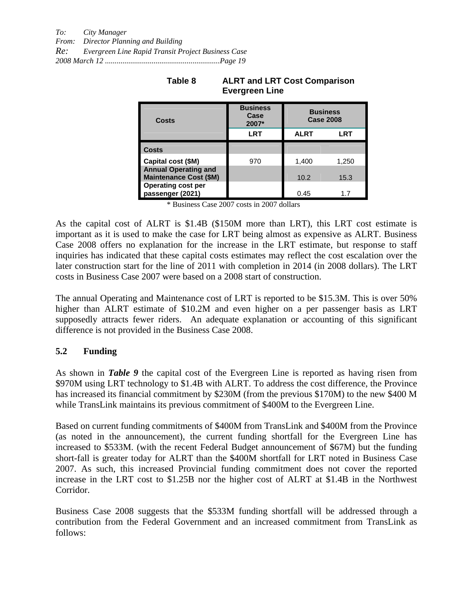| <b>Evergreen Line</b>                                        |                                  |                                     |            |
|--------------------------------------------------------------|----------------------------------|-------------------------------------|------------|
| Costs                                                        | <b>Business</b><br>Case<br>2007* | <b>Business</b><br><b>Case 2008</b> |            |
|                                                              | <b>LRT</b>                       | <b>ALRT</b>                         | <b>LRT</b> |
| <b>Costs</b>                                                 |                                  |                                     |            |
| Capital cost (\$M)                                           | 970                              | 1,400                               | 1,250      |
| <b>Annual Operating and</b><br><b>Maintenance Cost (\$M)</b> |                                  | 10.2                                | 15.3       |
| <b>Operating cost per</b><br>passenger (2021)                |                                  | 0.45                                | 1.7        |

**Table 8 ALRT and LRT Cost Comparison** 

\* Business Case 2007 costs in 2007 dollars

As the capital cost of ALRT is \$1.4B (\$150M more than LRT), this LRT cost estimate is important as it is used to make the case for LRT being almost as expensive as ALRT. Business Case 2008 offers no explanation for the increase in the LRT estimate, but response to staff inquiries has indicated that these capital costs estimates may reflect the cost escalation over the later construction start for the line of 2011 with completion in 2014 (in 2008 dollars). The LRT costs in Business Case 2007 were based on a 2008 start of construction.

The annual Operating and Maintenance cost of LRT is reported to be \$15.3M. This is over 50% higher than ALRT estimate of \$10.2M and even higher on a per passenger basis as LRT supposedly attracts fewer riders. An adequate explanation or accounting of this significant difference is not provided in the Business Case 2008.

#### **5.2 Funding**

As shown in *Table 9* the capital cost of the Evergreen Line is reported as having risen from \$970M using LRT technology to \$1.4B with ALRT. To address the cost difference, the Province has increased its financial commitment by \$230M (from the previous \$170M) to the new \$400 M while TransLink maintains its previous commitment of \$400M to the Evergreen Line.

Based on current funding commitments of \$400M from TransLink and \$400M from the Province (as noted in the announcement), the current funding shortfall for the Evergreen Line has increased to \$533M. (with the recent Federal Budget announcement of \$67M) but the funding short-fall is greater today for ALRT than the \$400M shortfall for LRT noted in Business Case 2007. As such, this increased Provincial funding commitment does not cover the reported increase in the LRT cost to \$1.25B nor the higher cost of ALRT at \$1.4B in the Northwest Corridor.

Business Case 2008 suggests that the \$533M funding shortfall will be addressed through a contribution from the Federal Government and an increased commitment from TransLink as follows: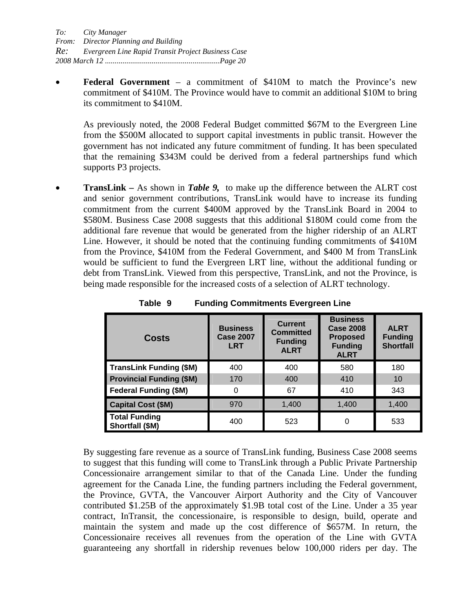• **Federal Government** – a commitment of \$410M to match the Province's new commitment of \$410M. The Province would have to commit an additional \$10M to bring its commitment to \$410M.

 As previously noted, the 2008 Federal Budget committed \$67M to the Evergreen Line from the \$500M allocated to support capital investments in public transit. However the government has not indicated any future commitment of funding. It has been speculated that the remaining \$343M could be derived from a federal partnerships fund which supports P3 projects.

• **TransLink** – As shown in *Table 9*, to make up the difference between the ALRT cost and senior government contributions, TransLink would have to increase its funding commitment from the current \$400M approved by the TransLink Board in 2004 to \$580M. Business Case 2008 suggests that this additional \$180M could come from the additional fare revenue that would be generated from the higher ridership of an ALRT Line. However, it should be noted that the continuing funding commitments of \$410M from the Province, \$410M from the Federal Government, and \$400 M from TransLink would be sufficient to fund the Evergreen LRT line, without the additional funding or debt from TransLink. Viewed from this perspective, TransLink, and not the Province, is being made responsible for the increased costs of a selection of ALRT technology.

| <b>Costs</b>                            | <b>Business</b><br><b>Case 2007</b><br><b>LRT</b> | <b>Current</b><br><b>Committed</b><br><b>Funding</b><br><b>ALRT</b> | <b>Business</b><br><b>Case 2008</b><br><b>Proposed</b><br><b>Funding</b><br><b>ALRT</b> | <b>ALRT</b><br><b>Funding</b><br><b>Shortfall</b> |
|-----------------------------------------|---------------------------------------------------|---------------------------------------------------------------------|-----------------------------------------------------------------------------------------|---------------------------------------------------|
| <b>TransLink Funding (\$M)</b>          | 400                                               | 400                                                                 | 580                                                                                     | 180                                               |
| <b>Provincial Funding (\$M)</b>         | 170                                               | 400                                                                 | 410                                                                                     | 10                                                |
| <b>Federal Funding (\$M)</b>            | 0                                                 | 67                                                                  | 410                                                                                     | 343                                               |
| <b>Capital Cost (\$M)</b>               | 970                                               | 1,400                                                               | 1,400                                                                                   | 1,400                                             |
| <b>Total Funding</b><br>Shortfall (\$M) | 400                                               | 523                                                                 | 0                                                                                       | 533                                               |

**Table 9 Funding Commitments Evergreen Line** 

By suggesting fare revenue as a source of TransLink funding, Business Case 2008 seems to suggest that this funding will come to TransLink through a Public Private Partnership Concessionaire arrangement similar to that of the Canada Line. Under the funding agreement for the Canada Line, the funding partners including the Federal government, the Province, GVTA, the Vancouver Airport Authority and the City of Vancouver contributed \$1.25B of the approximately \$1.9B total cost of the Line. Under a 35 year contract, InTransit, the concessionaire, is responsible to design, build, operate and maintain the system and made up the cost difference of \$657M. In return, the Concessionaire receives all revenues from the operation of the Line with GVTA guaranteeing any shortfall in ridership revenues below 100,000 riders per day. The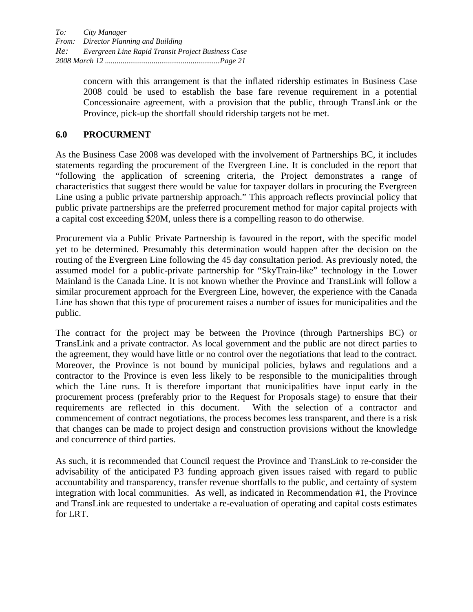concern with this arrangement is that the inflated ridership estimates in Business Case 2008 could be used to establish the base fare revenue requirement in a potential Concessionaire agreement, with a provision that the public, through TransLink or the Province, pick-up the shortfall should ridership targets not be met.

## **6.0 PROCURMENT**

As the Business Case 2008 was developed with the involvement of Partnerships BC, it includes statements regarding the procurement of the Evergreen Line. It is concluded in the report that "following the application of screening criteria, the Project demonstrates a range of characteristics that suggest there would be value for taxpayer dollars in procuring the Evergreen Line using a public private partnership approach." This approach reflects provincial policy that public private partnerships are the preferred procurement method for major capital projects with a capital cost exceeding \$20M, unless there is a compelling reason to do otherwise.

Procurement via a Public Private Partnership is favoured in the report, with the specific model yet to be determined. Presumably this determination would happen after the decision on the routing of the Evergreen Line following the 45 day consultation period. As previously noted, the assumed model for a public-private partnership for "SkyTrain-like" technology in the Lower Mainland is the Canada Line. It is not known whether the Province and TransLink will follow a similar procurement approach for the Evergreen Line, however, the experience with the Canada Line has shown that this type of procurement raises a number of issues for municipalities and the public.

The contract for the project may be between the Province (through Partnerships BC) or TransLink and a private contractor. As local government and the public are not direct parties to the agreement, they would have little or no control over the negotiations that lead to the contract. Moreover, the Province is not bound by municipal policies, bylaws and regulations and a contractor to the Province is even less likely to be responsible to the municipalities through which the Line runs. It is therefore important that municipalities have input early in the procurement process (preferably prior to the Request for Proposals stage) to ensure that their requirements are reflected in this document. With the selection of a contractor and commencement of contract negotiations, the process becomes less transparent, and there is a risk that changes can be made to project design and construction provisions without the knowledge and concurrence of third parties.

As such, it is recommended that Council request the Province and TransLink to re-consider the advisability of the anticipated P3 funding approach given issues raised with regard to public accountability and transparency, transfer revenue shortfalls to the public, and certainty of system integration with local communities. As well, as indicated in Recommendation #1, the Province and TransLink are requested to undertake a re-evaluation of operating and capital costs estimates for LRT.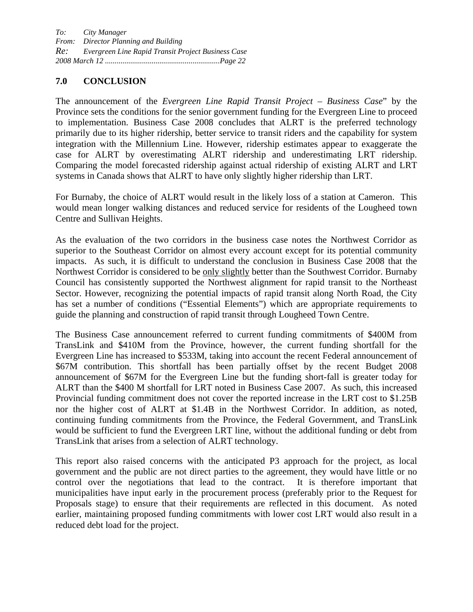## **7.0 CONCLUSION**

The announcement of the *Evergreen Line Rapid Transit Project – Business Case*" by the Province sets the conditions for the senior government funding for the Evergreen Line to proceed to implementation. Business Case 2008 concludes that ALRT is the preferred technology primarily due to its higher ridership, better service to transit riders and the capability for system integration with the Millennium Line. However, ridership estimates appear to exaggerate the case for ALRT by overestimating ALRT ridership and underestimating LRT ridership. Comparing the model forecasted ridership against actual ridership of existing ALRT and LRT systems in Canada shows that ALRT to have only slightly higher ridership than LRT.

For Burnaby, the choice of ALRT would result in the likely loss of a station at Cameron. This would mean longer walking distances and reduced service for residents of the Lougheed town Centre and Sullivan Heights.

As the evaluation of the two corridors in the business case notes the Northwest Corridor as superior to the Southeast Corridor on almost every account except for its potential community impacts. As such, it is difficult to understand the conclusion in Business Case 2008 that the Northwest Corridor is considered to be only slightly better than the Southwest Corridor. Burnaby Council has consistently supported the Northwest alignment for rapid transit to the Northeast Sector. However, recognizing the potential impacts of rapid transit along North Road, the City has set a number of conditions ("Essential Elements") which are appropriate requirements to guide the planning and construction of rapid transit through Lougheed Town Centre.

The Business Case announcement referred to current funding commitments of \$400M from TransLink and \$410M from the Province, however, the current funding shortfall for the Evergreen Line has increased to \$533M, taking into account the recent Federal announcement of \$67M contribution. This shortfall has been partially offset by the recent Budget 2008 announcement of \$67M for the Evergreen Line but the funding short-fall is greater today for ALRT than the \$400 M shortfall for LRT noted in Business Case 2007. As such, this increased Provincial funding commitment does not cover the reported increase in the LRT cost to \$1.25B nor the higher cost of ALRT at \$1.4B in the Northwest Corridor. In addition, as noted, continuing funding commitments from the Province, the Federal Government, and TransLink would be sufficient to fund the Evergreen LRT line, without the additional funding or debt from TransLink that arises from a selection of ALRT technology.

This report also raised concerns with the anticipated P3 approach for the project, as local government and the public are not direct parties to the agreement, they would have little or no control over the negotiations that lead to the contract. It is therefore important that municipalities have input early in the procurement process (preferably prior to the Request for Proposals stage) to ensure that their requirements are reflected in this document. As noted earlier, maintaining proposed funding commitments with lower cost LRT would also result in a reduced debt load for the project.